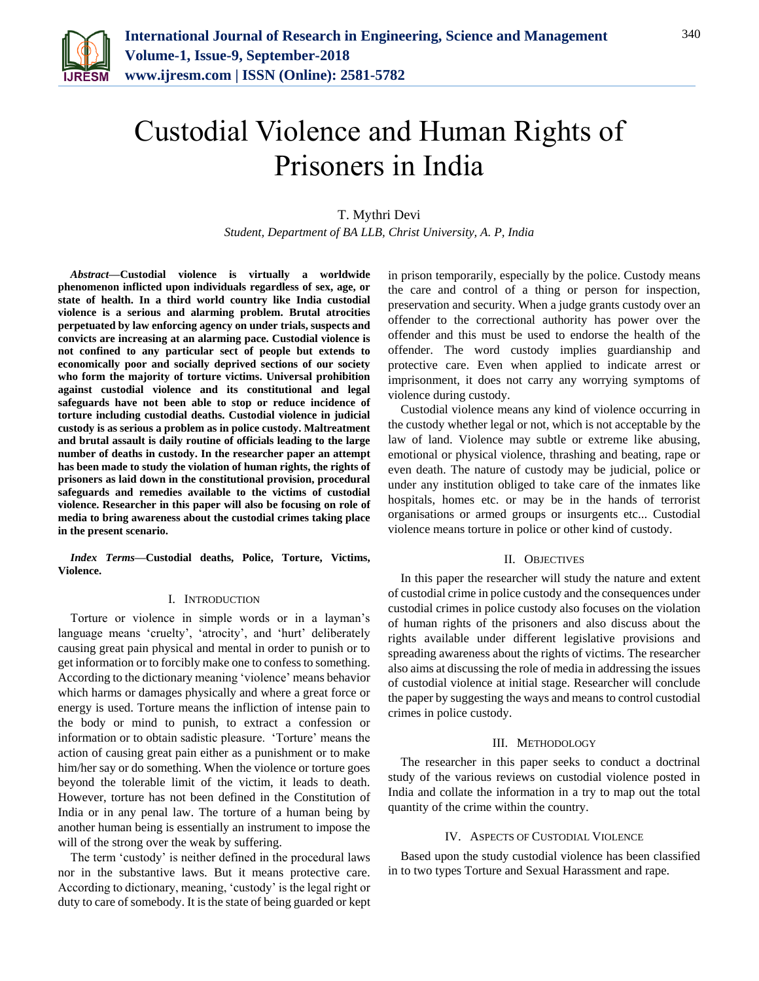

# Custodial Violence and Human Rights of Prisoners in India

T. Mythri Devi *Student, Department of BA LLB, Christ University, A. P, India*

*Abstract***—Custodial violence is virtually a worldwide phenomenon inflicted upon individuals regardless of sex, age, or state of health. In a third world country like India custodial violence is a serious and alarming problem. Brutal atrocities perpetuated by law enforcing agency on under trials, suspects and convicts are increasing at an alarming pace. Custodial violence is not confined to any particular sect of people but extends to economically poor and socially deprived sections of our society who form the majority of torture victims. Universal prohibition against custodial violence and its constitutional and legal safeguards have not been able to stop or reduce incidence of torture including custodial deaths. Custodial violence in judicial custody is as serious a problem as in police custody. Maltreatment and brutal assault is daily routine of officials leading to the large number of deaths in custody. In the researcher paper an attempt has been made to study the violation of human rights, the rights of prisoners as laid down in the constitutional provision, procedural safeguards and remedies available to the victims of custodial violence. Researcher in this paper will also be focusing on role of media to bring awareness about the custodial crimes taking place in the present scenario.**

*Index Terms***—Custodial deaths, Police, Torture, Victims, Violence.**

### I. INTRODUCTION

Torture or violence in simple words or in a layman's language means 'cruelty', 'atrocity', and 'hurt' deliberately causing great pain physical and mental in order to punish or to get information or to forcibly make one to confess to something. According to the dictionary meaning 'violence' means behavior which harms or damages physically and where a great force or energy is used. Torture means the infliction of intense pain to the body or mind to punish, to extract a confession or information or to obtain sadistic pleasure. 'Torture' means the action of causing great pain either as a punishment or to make him/her say or do something. When the violence or torture goes beyond the tolerable limit of the victim, it leads to death. However, torture has not been defined in the Constitution of India or in any penal law. The torture of a human being by another human being is essentially an instrument to impose the will of the strong over the weak by suffering.

The term 'custody' is neither defined in the procedural laws nor in the substantive laws. But it means protective care. According to dictionary, meaning, 'custody' is the legal right or duty to care of somebody. It is the state of being guarded or kept

in prison temporarily, especially by the police. Custody means the care and control of a thing or person for inspection, preservation and security. When a judge grants custody over an offender to the correctional authority has power over the offender and this must be used to endorse the health of the offender. The word custody implies guardianship and protective care. Even when applied to indicate arrest or imprisonment, it does not carry any worrying symptoms of violence during custody.

Custodial violence means any kind of violence occurring in the custody whether legal or not, which is not acceptable by the law of land. Violence may subtle or extreme like abusing, emotional or physical violence, thrashing and beating, rape or even death. The nature of custody may be judicial, police or under any institution obliged to take care of the inmates like hospitals, homes etc. or may be in the hands of terrorist organisations or armed groups or insurgents etc... Custodial violence means torture in police or other kind of custody.

#### II. OBJECTIVES

In this paper the researcher will study the nature and extent of custodial crime in police custody and the consequences under custodial crimes in police custody also focuses on the violation of human rights of the prisoners and also discuss about the rights available under different legislative provisions and spreading awareness about the rights of victims. The researcher also aims at discussing the role of media in addressing the issues of custodial violence at initial stage. Researcher will conclude the paper by suggesting the ways and means to control custodial crimes in police custody.

#### III. METHODOLOGY

The researcher in this paper seeks to conduct a doctrinal study of the various reviews on custodial violence posted in India and collate the information in a try to map out the total quantity of the crime within the country.

#### IV. ASPECTS OF CUSTODIAL VIOLENCE

Based upon the study custodial violence has been classified in to two types Torture and Sexual Harassment and rape.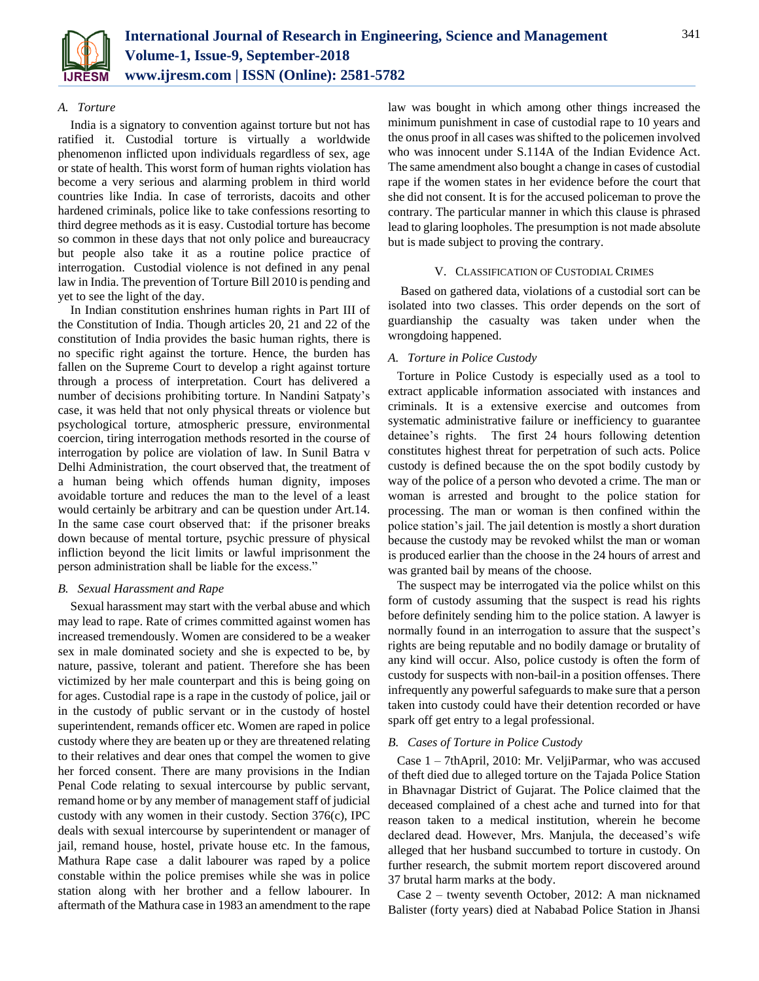

# *A. Torture*

India is a signatory to convention against torture but not has ratified it. Custodial torture is virtually a worldwide phenomenon inflicted upon individuals regardless of sex, age or state of health. This worst form of human rights violation has become a very serious and alarming problem in third world countries like India. In case of terrorists, dacoits and other hardened criminals, police like to take confessions resorting to third degree methods as it is easy. Custodial torture has become so common in these days that not only police and bureaucracy but people also take it as a routine police practice of interrogation. Custodial violence is not defined in any penal law in India. The prevention of Torture Bill 2010 is pending and yet to see the light of the day.

In Indian constitution enshrines human rights in Part III of the Constitution of India. Though articles 20, 21 and 22 of the constitution of India provides the basic human rights, there is no specific right against the torture. Hence, the burden has fallen on the Supreme Court to develop a right against torture through a process of interpretation. Court has delivered a number of decisions prohibiting torture. In Nandini Satpaty's case, it was held that not only physical threats or violence but psychological torture, atmospheric pressure, environmental coercion, tiring interrogation methods resorted in the course of interrogation by police are violation of law. In Sunil Batra v Delhi Administration, the court observed that, the treatment of a human being which offends human dignity, imposes avoidable torture and reduces the man to the level of a least would certainly be arbitrary and can be question under Art.14. In the same case court observed that: if the prisoner breaks down because of mental torture, psychic pressure of physical infliction beyond the licit limits or lawful imprisonment the person administration shall be liable for the excess."

## *B. Sexual Harassment and Rape*

Sexual harassment may start with the verbal abuse and which may lead to rape. Rate of crimes committed against women has increased tremendously. Women are considered to be a weaker sex in male dominated society and she is expected to be, by nature, passive, tolerant and patient. Therefore she has been victimized by her male counterpart and this is being going on for ages. Custodial rape is a rape in the custody of police, jail or in the custody of public servant or in the custody of hostel superintendent, remands officer etc. Women are raped in police custody where they are beaten up or they are threatened relating to their relatives and dear ones that compel the women to give her forced consent. There are many provisions in the Indian Penal Code relating to sexual intercourse by public servant, remand home or by any member of management staff of judicial custody with any women in their custody. Section 376(c), IPC deals with sexual intercourse by superintendent or manager of jail, remand house, hostel, private house etc. In the famous, Mathura Rape case a dalit labourer was raped by a police constable within the police premises while she was in police station along with her brother and a fellow labourer. In aftermath of the Mathura case in 1983 an amendment to the rape

law was bought in which among other things increased the minimum punishment in case of custodial rape to 10 years and the onus proof in all cases was shifted to the policemen involved who was innocent under S.114A of the Indian Evidence Act. The same amendment also bought a change in cases of custodial rape if the women states in her evidence before the court that she did not consent. It is for the accused policeman to prove the contrary. The particular manner in which this clause is phrased lead to glaring loopholes. The presumption is not made absolute but is made subject to proving the contrary.

# V. CLASSIFICATION OF CUSTODIAL CRIMES

Based on gathered data, violations of a custodial sort can be isolated into two classes. This order depends on the sort of guardianship the casualty was taken under when the wrongdoing happened.

# *A. Torture in Police Custody*

Torture in Police Custody is especially used as a tool to extract applicable information associated with instances and criminals. It is a extensive exercise and outcomes from systematic administrative failure or inefficiency to guarantee detainee's rights. The first 24 hours following detention constitutes highest threat for perpetration of such acts. Police custody is defined because the on the spot bodily custody by way of the police of a person who devoted a crime. The man or woman is arrested and brought to the police station for processing. The man or woman is then confined within the police station's jail. The jail detention is mostly a short duration because the custody may be revoked whilst the man or woman is produced earlier than the choose in the 24 hours of arrest and was granted bail by means of the choose.

The suspect may be interrogated via the police whilst on this form of custody assuming that the suspect is read his rights before definitely sending him to the police station. A lawyer is normally found in an interrogation to assure that the suspect's rights are being reputable and no bodily damage or brutality of any kind will occur. Also, police custody is often the form of custody for suspects with non-bail-in a position offenses. There infrequently any powerful safeguards to make sure that a person taken into custody could have their detention recorded or have spark off get entry to a legal professional.

# *B. Cases of Torture in Police Custody*

Case 1 – 7thApril, 2010: Mr. VeljiParmar, who was accused of theft died due to alleged torture on the Tajada Police Station in Bhavnagar District of Gujarat. The Police claimed that the deceased complained of a chest ache and turned into for that reason taken to a medical institution, wherein he become declared dead. However, Mrs. Manjula, the deceased's wife alleged that her husband succumbed to torture in custody. On further research, the submit mortem report discovered around 37 brutal harm marks at the body.

Case 2 – twenty seventh October, 2012: A man nicknamed Balister (forty years) died at Nababad Police Station in Jhansi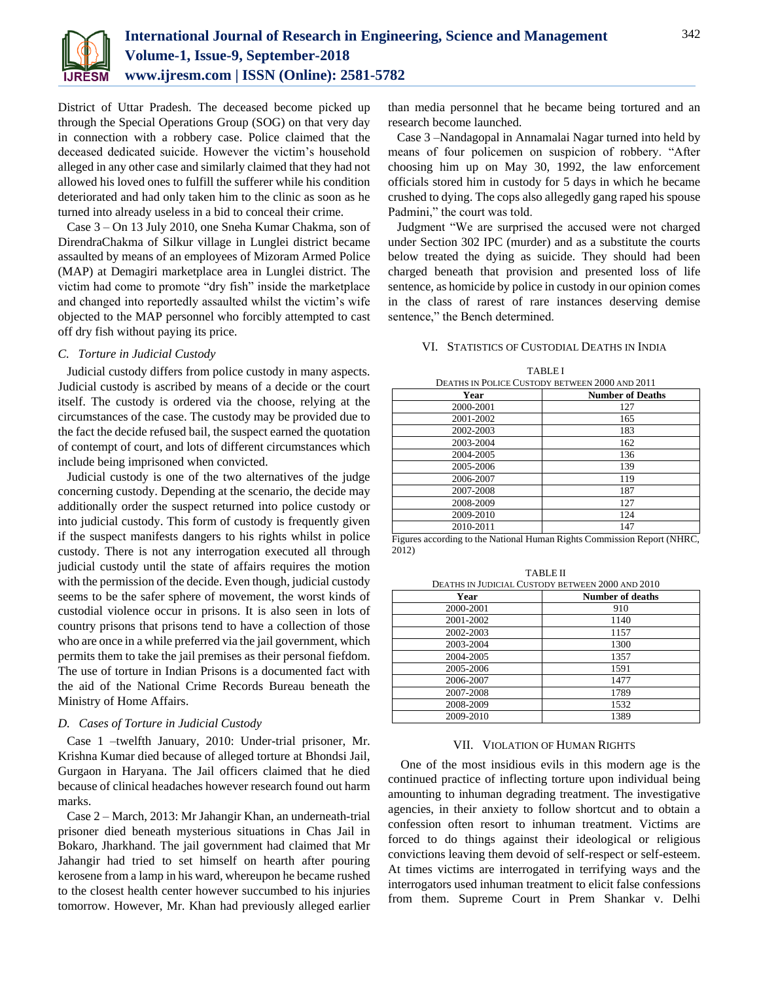

District of Uttar Pradesh. The deceased become picked up through the Special Operations Group (SOG) on that very day in connection with a robbery case. Police claimed that the deceased dedicated suicide. However the victim's household alleged in any other case and similarly claimed that they had not allowed his loved ones to fulfill the sufferer while his condition deteriorated and had only taken him to the clinic as soon as he turned into already useless in a bid to conceal their crime.

Case 3 – On 13 July 2010, one Sneha Kumar Chakma, son of DirendraChakma of Silkur village in Lunglei district became assaulted by means of an employees of Mizoram Armed Police (MAP) at Demagiri marketplace area in Lunglei district. The victim had come to promote "dry fish" inside the marketplace and changed into reportedly assaulted whilst the victim's wife objected to the MAP personnel who forcibly attempted to cast off dry fish without paying its price.

## *C. Torture in Judicial Custody*

Judicial custody differs from police custody in many aspects. Judicial custody is ascribed by means of a decide or the court itself. The custody is ordered via the choose, relying at the circumstances of the case. The custody may be provided due to the fact the decide refused bail, the suspect earned the quotation of contempt of court, and lots of different circumstances which include being imprisoned when convicted.

Judicial custody is one of the two alternatives of the judge concerning custody. Depending at the scenario, the decide may additionally order the suspect returned into police custody or into judicial custody. This form of custody is frequently given if the suspect manifests dangers to his rights whilst in police custody. There is not any interrogation executed all through judicial custody until the state of affairs requires the motion with the permission of the decide. Even though, judicial custody seems to be the safer sphere of movement, the worst kinds of custodial violence occur in prisons. It is also seen in lots of country prisons that prisons tend to have a collection of those who are once in a while preferred via the jail government, which permits them to take the jail premises as their personal fiefdom. The use of torture in Indian Prisons is a documented fact with the aid of the National Crime Records Bureau beneath the Ministry of Home Affairs.

# *D. Cases of Torture in Judicial Custody*

Case 1 –twelfth January, 2010: Under-trial prisoner, Mr. Krishna Kumar died because of alleged torture at Bhondsi Jail, Gurgaon in Haryana. The Jail officers claimed that he died because of clinical headaches however research found out harm marks.

Case 2 – March, 2013: Mr Jahangir Khan, an underneath-trial prisoner died beneath mysterious situations in Chas Jail in Bokaro, Jharkhand. The jail government had claimed that Mr Jahangir had tried to set himself on hearth after pouring kerosene from a lamp in his ward, whereupon he became rushed to the closest health center however succumbed to his injuries tomorrow. However, Mr. Khan had previously alleged earlier

than media personnel that he became being tortured and an research become launched.

Case 3 –Nandagopal in Annamalai Nagar turned into held by means of four policemen on suspicion of robbery. "After choosing him up on May 30, 1992, the law enforcement officials stored him in custody for 5 days in which he became crushed to dying. The cops also allegedly gang raped his spouse Padmini," the court was told.

Judgment "We are surprised the accused were not charged under Section 302 IPC (murder) and as a substitute the courts below treated the dying as suicide. They should had been charged beneath that provision and presented loss of life sentence, as homicide by police in custody in our opinion comes in the class of rarest of rare instances deserving demise sentence," the Bench determined.

### VI. STATISTICS OF CUSTODIAL DEATHS IN INDIA

TABLE I

| <b>DEATHS IN POLICE CUSTODY BETWEEN 2000 AND 2011</b> |                         |
|-------------------------------------------------------|-------------------------|
| Year                                                  | <b>Number of Deaths</b> |
| 2000-2001                                             | 127                     |
| 2001-2002                                             | 165                     |
| 2002-2003                                             | 183                     |
| 2003-2004                                             | 162                     |
| 2004-2005                                             | 136                     |
| 2005-2006                                             | 139                     |
| 2006-2007                                             | 119                     |
| 2007-2008                                             | 187                     |
| 2008-2009                                             | 127                     |
| 2009-2010                                             | 124                     |
| 2010-2011                                             | 147                     |

Figures according to the National Human Rights Commission Report (NHRC, 2012)

TABLE II DEATHS IN JUDICIAL CUSTODY BETWEEN 2000 AND 2010

| Year      | <b>Number of deaths</b> |
|-----------|-------------------------|
| 2000-2001 | 910                     |
| 2001-2002 | 1140                    |
| 2002-2003 | 1157                    |
| 2003-2004 | 1300                    |
| 2004-2005 | 1357                    |
| 2005-2006 | 1591                    |
| 2006-2007 | 1477                    |
| 2007-2008 | 1789                    |
| 2008-2009 | 1532                    |
| 2009-2010 | 1389                    |

#### VII. VIOLATION OF HUMAN RIGHTS

One of the most insidious evils in this modern age is the continued practice of inflecting torture upon individual being amounting to inhuman degrading treatment. The investigative agencies, in their anxiety to follow shortcut and to obtain a confession often resort to inhuman treatment. Victims are forced to do things against their ideological or religious convictions leaving them devoid of self-respect or self-esteem. At times victims are interrogated in terrifying ways and the interrogators used inhuman treatment to elicit false confessions from them. Supreme Court in Prem Shankar v. Delhi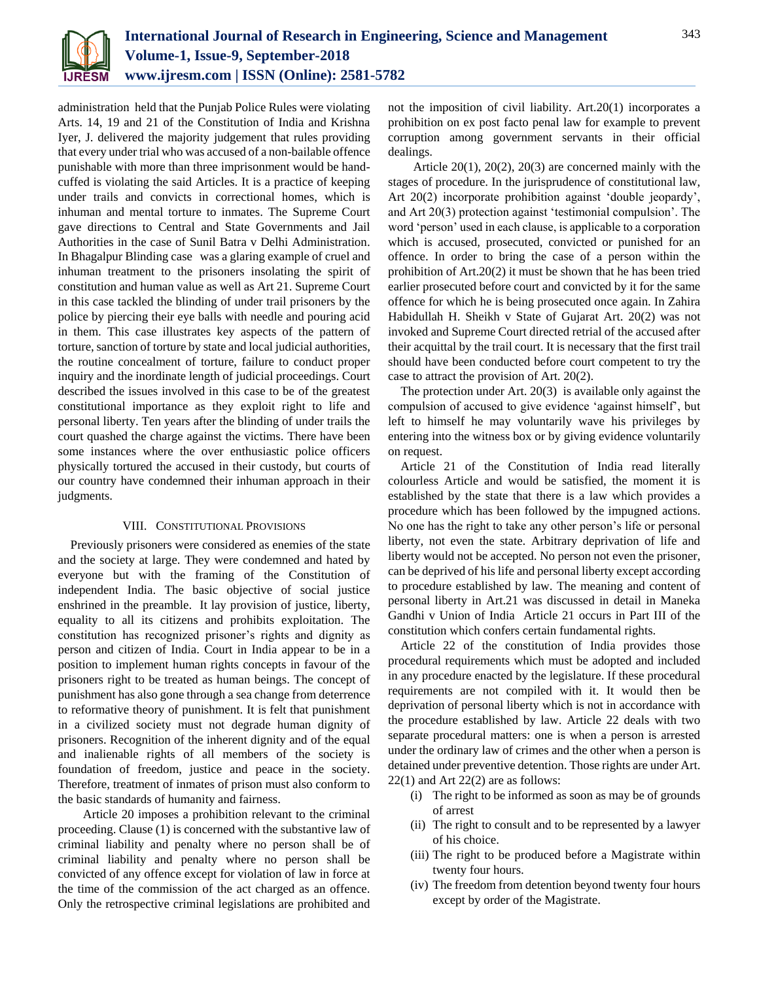

administration held that the Punjab Police Rules were violating Arts. 14, 19 and 21 of the Constitution of India and Krishna Iyer, J. delivered the majority judgement that rules providing that every under trial who was accused of a non-bailable offence punishable with more than three imprisonment would be handcuffed is violating the said Articles. It is a practice of keeping under trails and convicts in correctional homes, which is inhuman and mental torture to inmates. The Supreme Court gave directions to Central and State Governments and Jail Authorities in the case of Sunil Batra v Delhi Administration. In Bhagalpur Blinding case was a glaring example of cruel and inhuman treatment to the prisoners insolating the spirit of constitution and human value as well as Art 21. Supreme Court in this case tackled the blinding of under trail prisoners by the police by piercing their eye balls with needle and pouring acid in them. This case illustrates key aspects of the pattern of torture, sanction of torture by state and local judicial authorities, the routine concealment of torture, failure to conduct proper inquiry and the inordinate length of judicial proceedings. Court described the issues involved in this case to be of the greatest constitutional importance as they exploit right to life and personal liberty. Ten years after the blinding of under trails the court quashed the charge against the victims. There have been some instances where the over enthusiastic police officers physically tortured the accused in their custody, but courts of our country have condemned their inhuman approach in their judgments.

## VIII. CONSTITUTIONAL PROVISIONS

Previously prisoners were considered as enemies of the state and the society at large. They were condemned and hated by everyone but with the framing of the Constitution of independent India. The basic objective of social justice enshrined in the preamble. It lay provision of justice, liberty, equality to all its citizens and prohibits exploitation. The constitution has recognized prisoner's rights and dignity as person and citizen of India. Court in India appear to be in a position to implement human rights concepts in favour of the prisoners right to be treated as human beings. The concept of punishment has also gone through a sea change from deterrence to reformative theory of punishment. It is felt that punishment in a civilized society must not degrade human dignity of prisoners. Recognition of the inherent dignity and of the equal and inalienable rights of all members of the society is foundation of freedom, justice and peace in the society. Therefore, treatment of inmates of prison must also conform to the basic standards of humanity and fairness.

Article 20 imposes a prohibition relevant to the criminal proceeding. Clause (1) is concerned with the substantive law of criminal liability and penalty where no person shall be of criminal liability and penalty where no person shall be convicted of any offence except for violation of law in force at the time of the commission of the act charged as an offence. Only the retrospective criminal legislations are prohibited and

not the imposition of civil liability. Art.20(1) incorporates a prohibition on ex post facto penal law for example to prevent corruption among government servants in their official dealings.

Article 20(1), 20(2), 20(3) are concerned mainly with the stages of procedure. In the jurisprudence of constitutional law, Art 20(2) incorporate prohibition against 'double jeopardy', and Art 20(3) protection against 'testimonial compulsion'. The word 'person' used in each clause, is applicable to a corporation which is accused, prosecuted, convicted or punished for an offence. In order to bring the case of a person within the prohibition of Art.20(2) it must be shown that he has been tried earlier prosecuted before court and convicted by it for the same offence for which he is being prosecuted once again. In Zahira Habidullah H. Sheikh v State of Gujarat Art. 20(2) was not invoked and Supreme Court directed retrial of the accused after their acquittal by the trail court. It is necessary that the first trail should have been conducted before court competent to try the case to attract the provision of Art. 20(2).

The protection under Art. 20(3) is available only against the compulsion of accused to give evidence 'against himself', but left to himself he may voluntarily wave his privileges by entering into the witness box or by giving evidence voluntarily on request.

Article 21 of the Constitution of India read literally colourless Article and would be satisfied, the moment it is established by the state that there is a law which provides a procedure which has been followed by the impugned actions. No one has the right to take any other person's life or personal liberty, not even the state. Arbitrary deprivation of life and liberty would not be accepted. No person not even the prisoner, can be deprived of his life and personal liberty except according to procedure established by law. The meaning and content of personal liberty in Art.21 was discussed in detail in Maneka Gandhi v Union of India Article 21 occurs in Part III of the constitution which confers certain fundamental rights.

Article 22 of the constitution of India provides those procedural requirements which must be adopted and included in any procedure enacted by the legislature. If these procedural requirements are not compiled with it. It would then be deprivation of personal liberty which is not in accordance with the procedure established by law. Article 22 deals with two separate procedural matters: one is when a person is arrested under the ordinary law of crimes and the other when a person is detained under preventive detention. Those rights are under Art.  $22(1)$  and Art  $22(2)$  are as follows:

- (i) The right to be informed as soon as may be of grounds of arrest
- (ii) The right to consult and to be represented by a lawyer of his choice.
- (iii) The right to be produced before a Magistrate within twenty four hours.
- (iv) The freedom from detention beyond twenty four hours except by order of the Magistrate.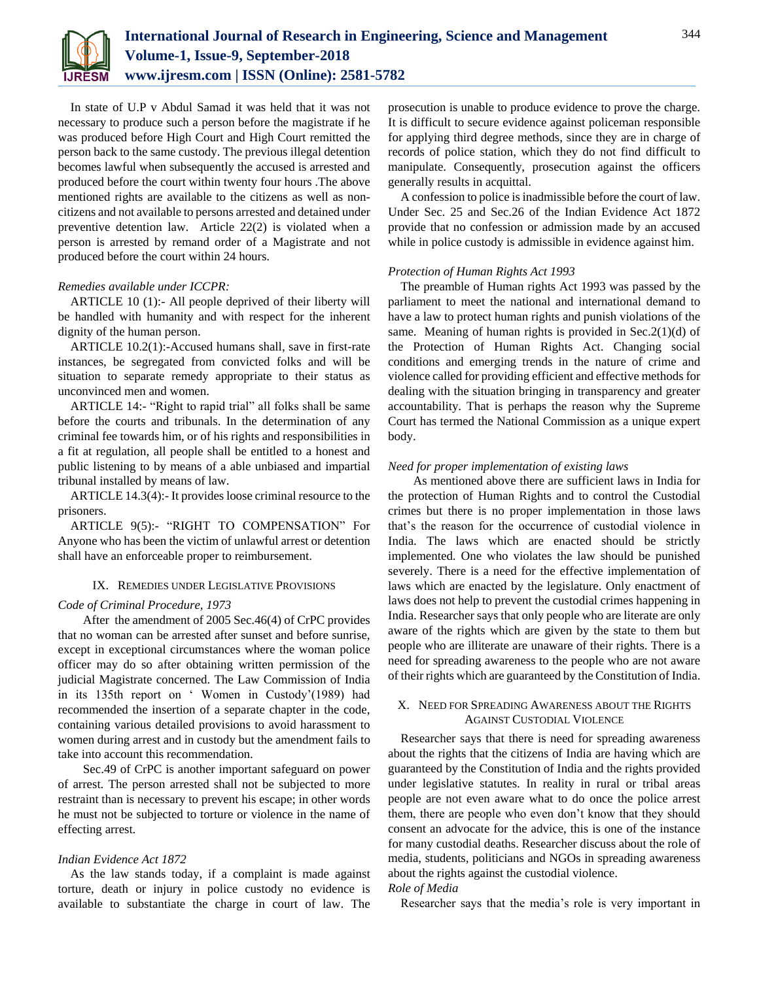

In state of U.P v Abdul Samad it was held that it was not necessary to produce such a person before the magistrate if he was produced before High Court and High Court remitted the person back to the same custody. The previous illegal detention becomes lawful when subsequently the accused is arrested and produced before the court within twenty four hours .The above mentioned rights are available to the citizens as well as noncitizens and not available to persons arrested and detained under preventive detention law. Article 22(2) is violated when a person is arrested by remand order of a Magistrate and not produced before the court within 24 hours.

# *Remedies available under ICCPR:*

ARTICLE 10 (1):- All people deprived of their liberty will be handled with humanity and with respect for the inherent dignity of the human person.

ARTICLE 10.2(1):-Accused humans shall, save in first-rate instances, be segregated from convicted folks and will be situation to separate remedy appropriate to their status as unconvinced men and women.

ARTICLE 14:- "Right to rapid trial" all folks shall be same before the courts and tribunals. In the determination of any criminal fee towards him, or of his rights and responsibilities in a fit at regulation, all people shall be entitled to a honest and public listening to by means of a able unbiased and impartial tribunal installed by means of law.

ARTICLE 14.3(4):- It provides loose criminal resource to the prisoners.

ARTICLE 9(5):- "RIGHT TO COMPENSATION" For Anyone who has been the victim of unlawful arrest or detention shall have an enforceable proper to reimbursement.

## IX. REMEDIES UNDER LEGISLATIVE PROVISIONS

#### *Code of Criminal Procedure, 1973*

After the amendment of 2005 Sec.46(4) of CrPC provides that no woman can be arrested after sunset and before sunrise, except in exceptional circumstances where the woman police officer may do so after obtaining written permission of the judicial Magistrate concerned. The Law Commission of India in its 135th report on ' Women in Custody'(1989) had recommended the insertion of a separate chapter in the code, containing various detailed provisions to avoid harassment to women during arrest and in custody but the amendment fails to take into account this recommendation.

Sec.49 of CrPC is another important safeguard on power of arrest. The person arrested shall not be subjected to more restraint than is necessary to prevent his escape; in other words he must not be subjected to torture or violence in the name of effecting arrest.

## *Indian Evidence Act 1872*

As the law stands today, if a complaint is made against torture, death or injury in police custody no evidence is available to substantiate the charge in court of law. The

prosecution is unable to produce evidence to prove the charge. It is difficult to secure evidence against policeman responsible for applying third degree methods, since they are in charge of records of police station, which they do not find difficult to manipulate. Consequently, prosecution against the officers generally results in acquittal.

A confession to police is inadmissible before the court of law. Under Sec. 25 and Sec.26 of the Indian Evidence Act 1872 provide that no confession or admission made by an accused while in police custody is admissible in evidence against him.

#### *Protection of Human Rights Act 1993*

The preamble of Human rights Act 1993 was passed by the parliament to meet the national and international demand to have a law to protect human rights and punish violations of the same. Meaning of human rights is provided in Sec.2(1)(d) of the Protection of Human Rights Act. Changing social conditions and emerging trends in the nature of crime and violence called for providing efficient and effective methods for dealing with the situation bringing in transparency and greater accountability. That is perhaps the reason why the Supreme Court has termed the National Commission as a unique expert body.

#### *Need for proper implementation of existing laws*

As mentioned above there are sufficient laws in India for the protection of Human Rights and to control the Custodial crimes but there is no proper implementation in those laws that's the reason for the occurrence of custodial violence in India. The laws which are enacted should be strictly implemented. One who violates the law should be punished severely. There is a need for the effective implementation of laws which are enacted by the legislature. Only enactment of laws does not help to prevent the custodial crimes happening in India. Researcher says that only people who are literate are only aware of the rights which are given by the state to them but people who are illiterate are unaware of their rights. There is a need for spreading awareness to the people who are not aware of their rights which are guaranteed by the Constitution of India.

# X. NEED FOR SPREADING AWARENESS ABOUT THE RIGHTS AGAINST CUSTODIAL VIOLENCE

Researcher says that there is need for spreading awareness about the rights that the citizens of India are having which are guaranteed by the Constitution of India and the rights provided under legislative statutes. In reality in rural or tribal areas people are not even aware what to do once the police arrest them, there are people who even don't know that they should consent an advocate for the advice, this is one of the instance for many custodial deaths. Researcher discuss about the role of media, students, politicians and NGOs in spreading awareness about the rights against the custodial violence.

# *Role of Media*

Researcher says that the media's role is very important in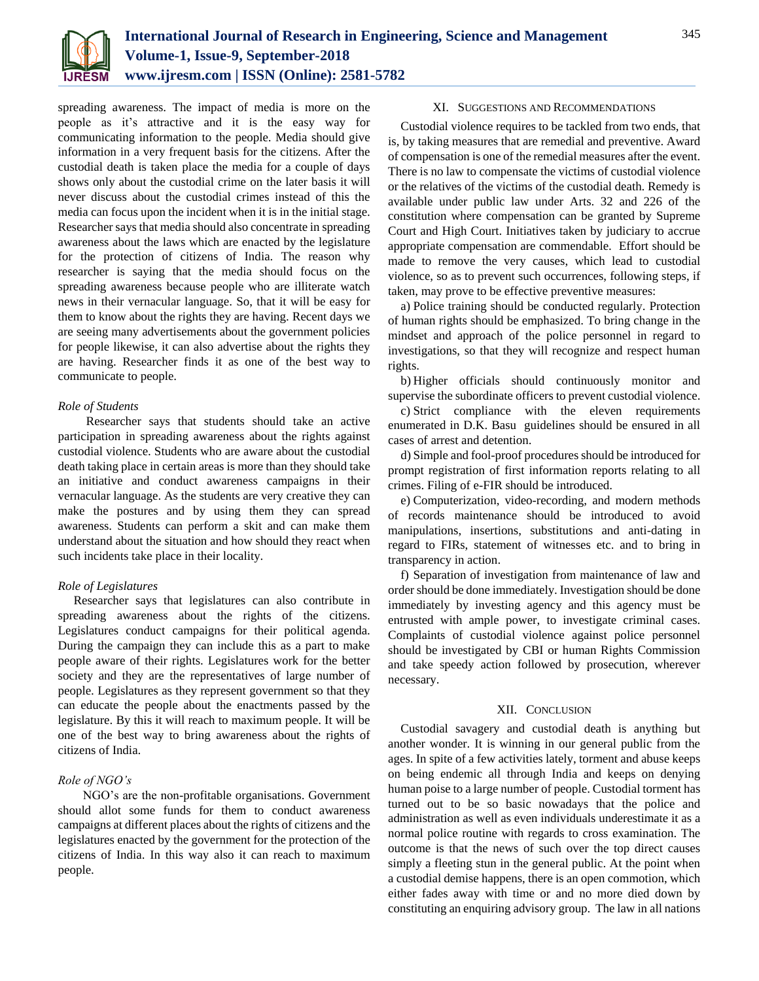

spreading awareness. The impact of media is more on the people as it's attractive and it is the easy way for communicating information to the people. Media should give information in a very frequent basis for the citizens. After the custodial death is taken place the media for a couple of days shows only about the custodial crime on the later basis it will never discuss about the custodial crimes instead of this the media can focus upon the incident when it is in the initial stage. Researcher says that media should also concentrate in spreading awareness about the laws which are enacted by the legislature for the protection of citizens of India. The reason why researcher is saying that the media should focus on the spreading awareness because people who are illiterate watch news in their vernacular language. So, that it will be easy for them to know about the rights they are having. Recent days we are seeing many advertisements about the government policies for people likewise, it can also advertise about the rights they are having. Researcher finds it as one of the best way to communicate to people.

# *Role of Students*

Researcher says that students should take an active participation in spreading awareness about the rights against custodial violence. Students who are aware about the custodial death taking place in certain areas is more than they should take an initiative and conduct awareness campaigns in their vernacular language. As the students are very creative they can make the postures and by using them they can spread awareness. Students can perform a skit and can make them understand about the situation and how should they react when such incidents take place in their locality.

# *Role of Legislatures*

Researcher says that legislatures can also contribute in spreading awareness about the rights of the citizens. Legislatures conduct campaigns for their political agenda. During the campaign they can include this as a part to make people aware of their rights. Legislatures work for the better society and they are the representatives of large number of people. Legislatures as they represent government so that they can educate the people about the enactments passed by the legislature. By this it will reach to maximum people. It will be one of the best way to bring awareness about the rights of citizens of India.

## *Role of NGO's*

NGO's are the non-profitable organisations. Government should allot some funds for them to conduct awareness campaigns at different places about the rights of citizens and the legislatures enacted by the government for the protection of the citizens of India. In this way also it can reach to maximum people.

## XI. SUGGESTIONS AND RECOMMENDATIONS

Custodial violence requires to be tackled from two ends, that is, by taking measures that are remedial and preventive. Award of compensation is one of the remedial measures after the event. There is no law to compensate the victims of custodial violence or the relatives of the victims of the custodial death. Remedy is available under public law under Arts. 32 and 226 of the constitution where compensation can be granted by Supreme Court and High Court. Initiatives taken by judiciary to accrue appropriate compensation are commendable. Effort should be made to remove the very causes, which lead to custodial violence, so as to prevent such occurrences, following steps, if taken, may prove to be effective preventive measures:

a) Police training should be conducted regularly. Protection of human rights should be emphasized. To bring change in the mindset and approach of the police personnel in regard to investigations, so that they will recognize and respect human rights.

b) Higher officials should continuously monitor and supervise the subordinate officers to prevent custodial violence.

c) Strict compliance with the eleven requirements enumerated in D.K. Basu guidelines should be ensured in all cases of arrest and detention.

d) Simple and fool-proof procedures should be introduced for prompt registration of first information reports relating to all crimes. Filing of e-FIR should be introduced.

e) Computerization, video-recording, and modern methods of records maintenance should be introduced to avoid manipulations, insertions, substitutions and anti-dating in regard to FIRs, statement of witnesses etc. and to bring in transparency in action.

f) Separation of investigation from maintenance of law and order should be done immediately. Investigation should be done immediately by investing agency and this agency must be entrusted with ample power, to investigate criminal cases. Complaints of custodial violence against police personnel should be investigated by CBI or human Rights Commission and take speedy action followed by prosecution, wherever necessary.

#### XII. CONCLUSION

Custodial savagery and custodial death is anything but another wonder. It is winning in our general public from the ages. In spite of a few activities lately, torment and abuse keeps on being endemic all through India and keeps on denying human poise to a large number of people. Custodial torment has turned out to be so basic nowadays that the police and administration as well as even individuals underestimate it as a normal police routine with regards to cross examination. The outcome is that the news of such over the top direct causes simply a fleeting stun in the general public. At the point when a custodial demise happens, there is an open commotion, which either fades away with time or and no more died down by constituting an enquiring advisory group. The law in all nations